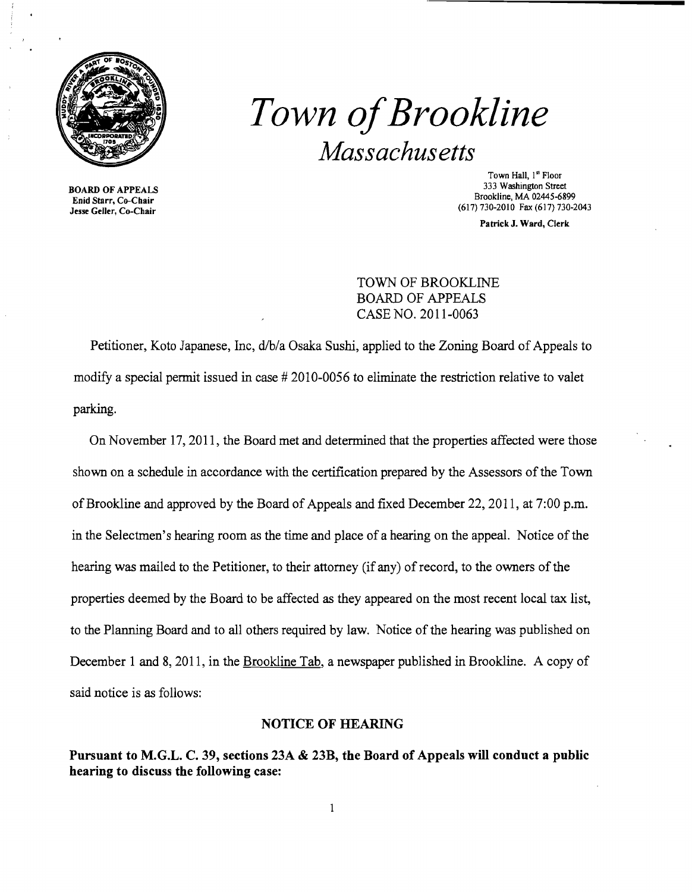

# *Town ofBrookline Massachusetts*

BOARD OF APPEALS Enid Starr, Co-Chair Jesse Geller, Co-Chair

Town Hall, l<sup>a</sup> Floor 333 Washington Street Brookline, MA 02445·6899 (617) 730-2010 Fax (617) 730-2043

Patrick J. Ward, Clerk

## TOWN OF BROOKLINE BOARD OF APPEALS CASE NO. 2011-0063

Petitioner, Koto Japanese, Inc, d/b/a Osaka Sushi, applied to the Zoning Board of Appeals to modify a special permit issued in case # 2010-0056 to eliminate the restriction relative to valet parking.

On November 17, 2011, the Board met and determined that the properties affected were those shown on a schedule in accordance with the certification prepared by the Assessors of the Town of Brookline and approved by the Board of Appeals and fixed December 22,2011, at 7:00 p.m. in the Selectmen's hearing room as the time and place of a hearing on the appeal. Notice of the hearing was mailed to the Petitioner, to their attorney (if any) of record, to the owners of the properties deemed by the Board to be affected as they appeared on the most recent local tax list, to the Planning Board and to all others required by law. Notice of the hearing was published on December 1 and 8, 2011, in the Brookline Tab, a newspaper published in Brookline. A copy of said notice is as follows:

#### NOTICE OF HEARING

Pursuant to M.G.L. C. 39, sections 23A & 23B, the Board of Appeals will conduct a public hearing to discuss the following case: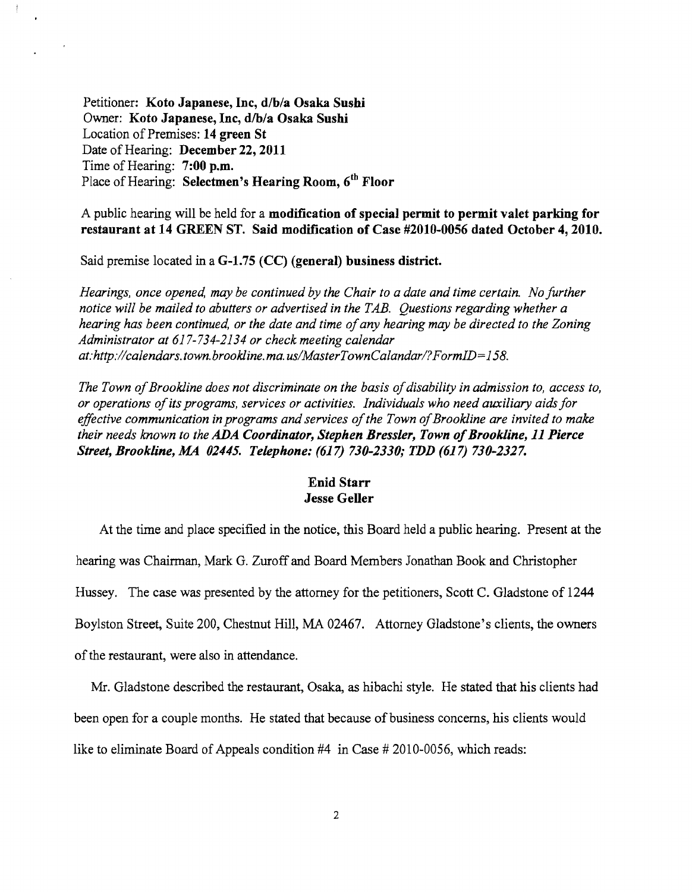Petitioner: Koto Japanese, Inc, d/b/a Osaka Sushi Owner: Koto Japanese, Inc, d/b/a Osaka Sushi Location of Premises: 14 green St Date of Hearing: December 22, 2011 Time of Hearing: 7:00 p.m. Place of Hearing: Selectmen's Hearing Room, 6<sup>th</sup> Floor

 $\frac{3}{2}$ 

A public hearing will be held for a modification of special permit to permit valet parking for restaurant at 14 GREEN ST. Said modification of Case #2010-0056 dated October 4, 2010.

Said premise located in a G-1.75 (CC) (general) business district.

*Hearings, once opened, may be continued by the Chair to a date and time certain. No further* notice will be mailed to abutters or advertised in the TAB. Questions regarding whether a hearing has been continued, or the date and time of any hearing may be directed to the Zoning *Administrator at* 617-734-2134 *or check meeting calendar* at:http://calendars.town.brookline.ma.us/MasterTownCalandar/?FormID=158.

The Town of Brookline does not discriminate on the basis of disability in admission to, access to, *or operations ofits programs, services or activities. Individuals who need auxiliary aids for effective communication in programs and services ofthe Town ofBrookline are invited to make their needs known to the ADA Coordinator, Stephen Bressler, Town of Brookline, 11 Pierce Street, Brookline,.MA 02445. Telephone:* (617) *730-2330,. TDD* (617) *730-2327.* 

#### Enid Starr Jesse Geller

At the time and place specified in the notice, this Board held a public hearing. Present at the hearing was Chairman, Mark G. Zuroff and Board Members Jonathan Book and Christopher Hussey. The case was presented by the attorney for the petitioners, Scott C. Gladstone of 1244 Boylston Street, Suite 200, Chestnut Hill, MA 02467. Attorney Gladstone's clients, the owners of the restaurant, were also in attendance.

Mr. Gladstone described the restaurant, Osaka, as hibachi style. He stated that his clients had been open for a couple months. He stated that because of business concerns, his clients would like to eliminate Board of Appeals condition #4 in Case # 2010-0056, which reads: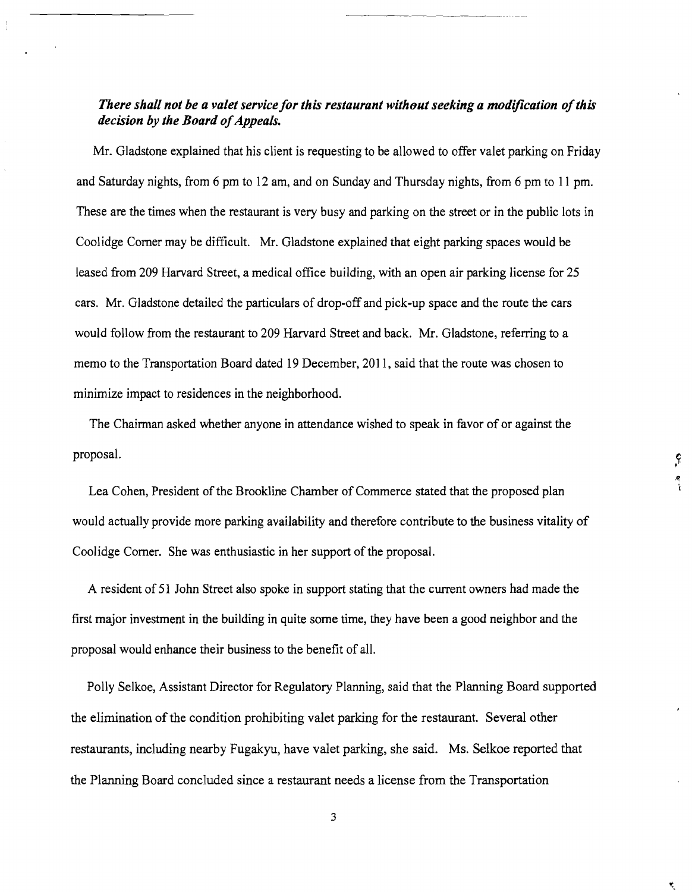### *There shall not be a valet service for this restaurant without seeking a modification of this decision by the Board of Appeals.*

Mr. Gladstone explained that his client is requesting to be allowed to offer valet parking on Friday and Saturday nights, from 6 pm to 12 am, and on Sunday and Thursday nights, from 6 pm to 11 pm. These are the times when the restaurant is very busy and parking on the street or in the public lots in Coolidge Comer may be difficult. Mr. Gladstone explained that eight parking spaces would be leased from 209 Harvard Street, a medical office building, with an open air parking license for 25 cars. Mr. Gladstone detailed the particulars of drop-off and pick-up space and the route the cars would follow from the restaurant to 209 Harvard Street and back. Mr. Gladstone, referring to a memo to the Transportation Board dated 19 December, 2011, said that the route was chosen to minimize impact to residences in the neighborhood.

The Chairman asked whether anyone in attendance wished to speak in favor of or against the proposal.

 $\mathcal{L}$ ۰.<br>ا

Lea Cohen, President of the Brookline Chamber of Commerce stated that the proposed plan would actually provide more parking availability and therefore contribute to the business vitality of Coolidge Comer. She was enthusiastic in her support of the proposal.

A resident of 51 John Street also spoke in support stating that the current owners had made the first major investment in the building in quite some time, they have been a good neighbor and the proposal would enhance their business to the benefit of all.

Polly Selkoe, Assistant Director for Regulatory Planning, said that the Planning Board supported the elimination of the condition prohibiting valet parking for the restaurant. Several other restaurants, including nearby Fugakyu, have valet parking, she said. Ms. Selkoe reported that the Planning Board concluded since a restaurant needs a license from the Transportation

3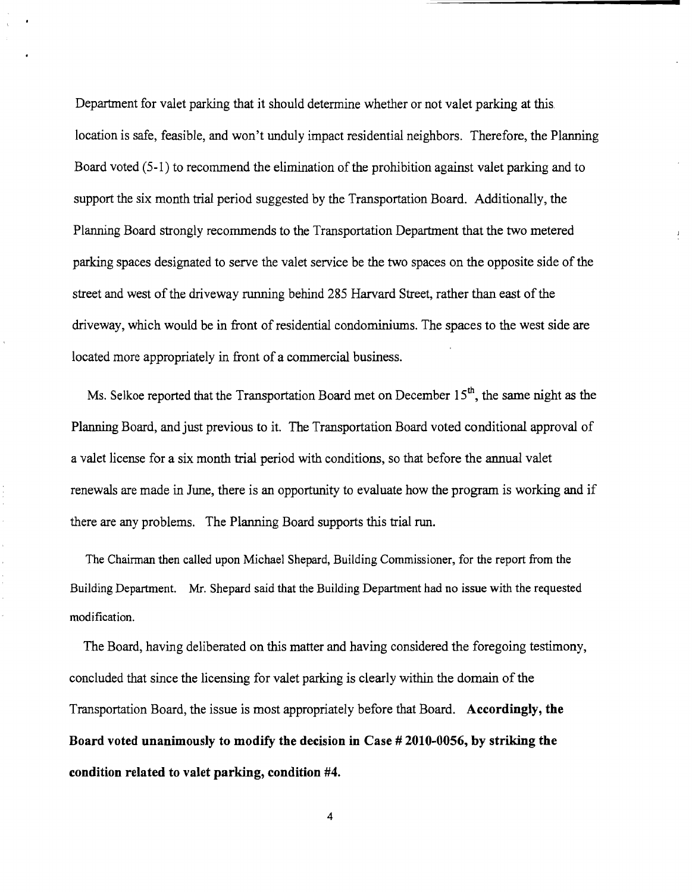Department for valet parking that it should determine whether or not valet parking at this location is safe, feasible, and won't unduly impact residential neighbors. Therefore, the Planning Board voted  $(5-1)$  to recommend the elimination of the prohibition against valet parking and to support the six month trial period suggested by the Transportation Board. Additionally, the Planning Board strongly recommends to the Transportation Department that the two metered parking spaces designated to serve the valet service be the two spaces on the opposite side of the street and west of the driveway running behind 285 Harvard Street, rather than east of the driveway, which would be in front of residential condominiums. The spaces to the west side are located more appropriately in front of a commercial business.

 $\mathbf{1}$ 

Ms. Selkoe reported that the Transportation Board met on December  $15<sup>th</sup>$ , the same night as the Planning Board, and just previous to it. The Transportation Board voted conditional approval of a valet license for a six month trial period with conditions, so that before the annual valet renewals are made in June, there is an opportunity to evaluate how the program is working and if there are any problems. The Planning Board supports this trial run.

The Chairman then called upon Michael Shepard, Building Commissioner, for the report from the Building Department. Mr. Shepard said that the Building Department had no issue with the requested modification.

The Board, having deliberated on this matter and having considered the foregoing testimony, concluded that since the licensing for valet parking is clearly within the domain of the Transportation Board, the issue is most appropriately before that Board. **Accordingly, the Board voted unanimously to modify the decision in Case # 2010-0056, by striking the condition related to valet parking, condition #4.** 

4